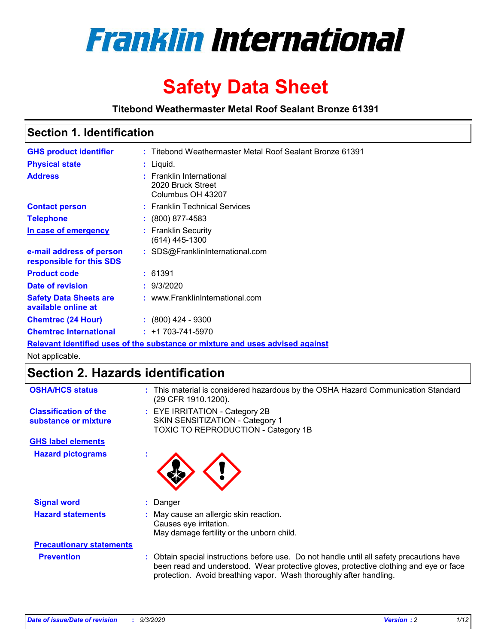

# **Safety Data Sheet**

**Titebond Weathermaster Metal Roof Sealant Bronze 61391**

### **Section 1. Identification**

| <b>GHS product identifier</b>                                                 |  | : Titebond Weathermaster Metal Roof Sealant Bronze 61391           |  |  |
|-------------------------------------------------------------------------------|--|--------------------------------------------------------------------|--|--|
| <b>Physical state</b>                                                         |  | : Liquid.                                                          |  |  |
| <b>Address</b>                                                                |  | : Franklin International<br>2020 Bruck Street<br>Columbus OH 43207 |  |  |
| <b>Contact person</b>                                                         |  | : Franklin Technical Services                                      |  |  |
| <b>Telephone</b>                                                              |  | $\colon$ (800) 877-4583                                            |  |  |
| In case of emergency                                                          |  | : Franklin Security<br>$(614)$ 445-1300                            |  |  |
| e-mail address of person<br>responsible for this SDS                          |  | : SDS@FranklinInternational.com                                    |  |  |
| <b>Product code</b>                                                           |  | : 61391                                                            |  |  |
| Date of revision                                                              |  | : 9/3/2020                                                         |  |  |
| <b>Safety Data Sheets are</b><br>available online at                          |  | : www.FranklinInternational.com                                    |  |  |
| <b>Chemtrec (24 Hour)</b>                                                     |  | $: (800)$ 424 - 9300                                               |  |  |
| <b>Chemtrec International</b>                                                 |  | $: +1703 - 741 - 5970$                                             |  |  |
| Relevant identified uses of the substance or mixture and uses advised against |  |                                                                    |  |  |

Not applicable.

## **Section 2. Hazards identification**

| <b>OSHA/HCS status</b>                               |    | : This material is considered hazardous by the OSHA Hazard Communication Standard<br>(29 CFR 1910.1200).                                                                                                                                                 |
|------------------------------------------------------|----|----------------------------------------------------------------------------------------------------------------------------------------------------------------------------------------------------------------------------------------------------------|
| <b>Classification of the</b><br>substance or mixture |    | : EYE IRRITATION - Category 2B<br>SKIN SENSITIZATION - Category 1<br>TOXIC TO REPRODUCTION - Category 1B                                                                                                                                                 |
| <b>GHS label elements</b>                            |    |                                                                                                                                                                                                                                                          |
| <b>Hazard pictograms</b>                             | ٠  |                                                                                                                                                                                                                                                          |
| <b>Signal word</b>                                   | ÷. | Danger                                                                                                                                                                                                                                                   |
| <b>Hazard statements</b>                             |    | May cause an allergic skin reaction.<br>Causes eye irritation.<br>May damage fertility or the unborn child.                                                                                                                                              |
| <b>Precautionary statements</b>                      |    |                                                                                                                                                                                                                                                          |
| <b>Prevention</b>                                    |    | : Obtain special instructions before use. Do not handle until all safety precautions have<br>been read and understood. Wear protective gloves, protective clothing and eye or face<br>protection. Avoid breathing vapor. Wash thoroughly after handling. |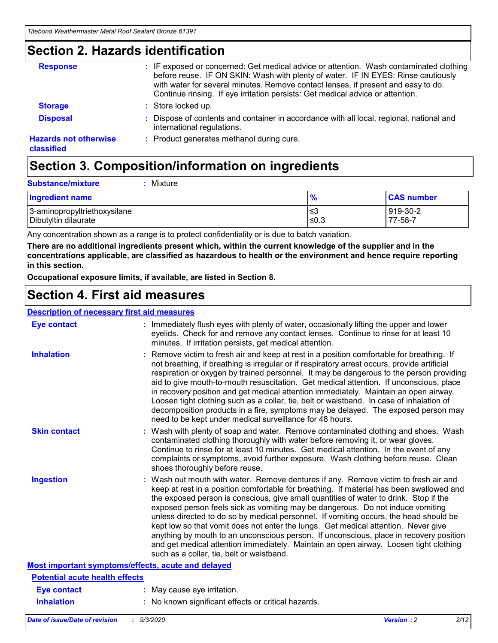### **Section 2. Hazards identification**

| <b>Response</b>                            | : IF exposed or concerned: Get medical advice or attention. Wash contaminated clothing<br>before reuse. IF ON SKIN: Wash with plenty of water. IF IN EYES: Rinse cautiously<br>with water for several minutes. Remove contact lenses, if present and easy to do.<br>Continue rinsing. If eye irritation persists: Get medical advice or attention. |
|--------------------------------------------|----------------------------------------------------------------------------------------------------------------------------------------------------------------------------------------------------------------------------------------------------------------------------------------------------------------------------------------------------|
| <b>Storage</b>                             | : Store locked up.                                                                                                                                                                                                                                                                                                                                 |
| <b>Disposal</b>                            | : Dispose of contents and container in accordance with all local, regional, national and<br>international regulations.                                                                                                                                                                                                                             |
| <b>Hazards not otherwise</b><br>classified | : Product generates methanol during cure.                                                                                                                                                                                                                                                                                                          |

## **Section 3. Composition/information on ingredients**

| <b>Substance/mixture</b> | Mixture |
|--------------------------|---------|
|                          |         |

| <b>Ingredient name</b>       | $\frac{9}{6}$ | <b>CAS number</b> |
|------------------------------|---------------|-------------------|
| 3-aminopropyltriethoxysilane | ≤3            | 919-30-2          |
| Dibutyltin dilaurate         | ∣≤0.3         | 77-58-7           |

Any concentration shown as a range is to protect confidentiality or is due to batch variation.

**There are no additional ingredients present which, within the current knowledge of the supplier and in the concentrations applicable, are classified as hazardous to health or the environment and hence require reporting in this section.**

**Occupational exposure limits, if available, are listed in Section 8.**

### **Section 4. First aid measures**

| <b>Description of necessary first aid measures</b> |                                                                                                                                                                                                                                                                                                                                                                                                                                                                                                                                                                                                                                                                                                                                                                           |
|----------------------------------------------------|---------------------------------------------------------------------------------------------------------------------------------------------------------------------------------------------------------------------------------------------------------------------------------------------------------------------------------------------------------------------------------------------------------------------------------------------------------------------------------------------------------------------------------------------------------------------------------------------------------------------------------------------------------------------------------------------------------------------------------------------------------------------------|
| <b>Eye contact</b>                                 | : Immediately flush eyes with plenty of water, occasionally lifting the upper and lower<br>eyelids. Check for and remove any contact lenses. Continue to rinse for at least 10<br>minutes. If irritation persists, get medical attention.                                                                                                                                                                                                                                                                                                                                                                                                                                                                                                                                 |
| <b>Inhalation</b>                                  | : Remove victim to fresh air and keep at rest in a position comfortable for breathing. If<br>not breathing, if breathing is irregular or if respiratory arrest occurs, provide artificial<br>respiration or oxygen by trained personnel. It may be dangerous to the person providing<br>aid to give mouth-to-mouth resuscitation. Get medical attention. If unconscious, place<br>in recovery position and get medical attention immediately. Maintain an open airway.<br>Loosen tight clothing such as a collar, tie, belt or waistband. In case of inhalation of<br>decomposition products in a fire, symptoms may be delayed. The exposed person may<br>need to be kept under medical surveillance for 48 hours.                                                       |
| <b>Skin contact</b>                                | : Wash with plenty of soap and water. Remove contaminated clothing and shoes. Wash<br>contaminated clothing thoroughly with water before removing it, or wear gloves.<br>Continue to rinse for at least 10 minutes. Get medical attention. In the event of any<br>complaints or symptoms, avoid further exposure. Wash clothing before reuse. Clean<br>shoes thoroughly before reuse.                                                                                                                                                                                                                                                                                                                                                                                     |
| <b>Ingestion</b>                                   | : Wash out mouth with water. Remove dentures if any. Remove victim to fresh air and<br>keep at rest in a position comfortable for breathing. If material has been swallowed and<br>the exposed person is conscious, give small quantities of water to drink. Stop if the<br>exposed person feels sick as vomiting may be dangerous. Do not induce vomiting<br>unless directed to do so by medical personnel. If vomiting occurs, the head should be<br>kept low so that vomit does not enter the lungs. Get medical attention. Never give<br>anything by mouth to an unconscious person. If unconscious, place in recovery position<br>and get medical attention immediately. Maintain an open airway. Loosen tight clothing<br>such as a collar, tie, belt or waistband. |
| Most important symptoms/effects, acute and delayed |                                                                                                                                                                                                                                                                                                                                                                                                                                                                                                                                                                                                                                                                                                                                                                           |
| <b>Potential acute health effects</b>              |                                                                                                                                                                                                                                                                                                                                                                                                                                                                                                                                                                                                                                                                                                                                                                           |
| Eye contact                                        | : May cause eye irritation.                                                                                                                                                                                                                                                                                                                                                                                                                                                                                                                                                                                                                                                                                                                                               |
| <b>Inhalation</b>                                  | : No known significant effects or critical hazards.                                                                                                                                                                                                                                                                                                                                                                                                                                                                                                                                                                                                                                                                                                                       |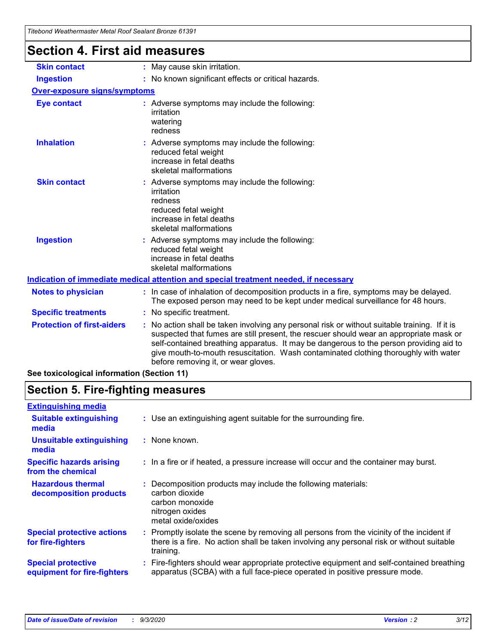| Tilebong Wealhermaster Metal Roof Sealant Bronze 61391 |                                                                                                                                                                                                                                                                                                                                                                                                                 |
|--------------------------------------------------------|-----------------------------------------------------------------------------------------------------------------------------------------------------------------------------------------------------------------------------------------------------------------------------------------------------------------------------------------------------------------------------------------------------------------|
| <b>Section 4. First aid measures</b>                   |                                                                                                                                                                                                                                                                                                                                                                                                                 |
| <b>Skin contact</b>                                    | : May cause skin irritation.                                                                                                                                                                                                                                                                                                                                                                                    |
| <b>Ingestion</b>                                       | : No known significant effects or critical hazards.                                                                                                                                                                                                                                                                                                                                                             |
| <b>Over-exposure signs/symptoms</b>                    |                                                                                                                                                                                                                                                                                                                                                                                                                 |
| <b>Eye contact</b>                                     | : Adverse symptoms may include the following:<br>irritation<br>watering<br>redness                                                                                                                                                                                                                                                                                                                              |
| <b>Inhalation</b>                                      | : Adverse symptoms may include the following:<br>reduced fetal weight<br>increase in fetal deaths<br>skeletal malformations                                                                                                                                                                                                                                                                                     |
| <b>Skin contact</b>                                    | : Adverse symptoms may include the following:<br>irritation<br>redness<br>reduced fetal weight<br>increase in fetal deaths<br>skeletal malformations                                                                                                                                                                                                                                                            |
| <b>Ingestion</b>                                       | : Adverse symptoms may include the following:<br>reduced fetal weight<br>increase in fetal deaths<br>skeletal malformations                                                                                                                                                                                                                                                                                     |
|                                                        | Indication of immediate medical attention and special treatment needed, if necessary                                                                                                                                                                                                                                                                                                                            |
| <b>Notes to physician</b>                              | : In case of inhalation of decomposition products in a fire, symptoms may be delayed.<br>The exposed person may need to be kept under medical surveillance for 48 hours.                                                                                                                                                                                                                                        |
| <b>Specific treatments</b>                             | : No specific treatment.                                                                                                                                                                                                                                                                                                                                                                                        |
| <b>Protection of first-aiders</b>                      | : No action shall be taken involving any personal risk or without suitable training. If it is<br>suspected that fumes are still present, the rescuer should wear an appropriate mask or<br>self-contained breathing apparatus. It may be dangerous to the person providing aid to<br>give mouth-to-mouth resuscitation. Wash contaminated clothing thoroughly with water<br>before removing it, or wear gloves. |
| See toxicological information (Section 11)             |                                                                                                                                                                                                                                                                                                                                                                                                                 |

## **Section 5. Fire-fighting measures**

| <b>Extinguishing media</b>                               |                                                                                                                                                                                                     |  |
|----------------------------------------------------------|-----------------------------------------------------------------------------------------------------------------------------------------------------------------------------------------------------|--|
| <b>Suitable extinguishing</b><br>media                   | : Use an extinguishing agent suitable for the surrounding fire.                                                                                                                                     |  |
| <b>Unsuitable extinguishing</b><br>media                 | : None known.                                                                                                                                                                                       |  |
| <b>Specific hazards arising</b><br>from the chemical     | : In a fire or if heated, a pressure increase will occur and the container may burst.                                                                                                               |  |
| <b>Hazardous thermal</b><br>decomposition products       | : Decomposition products may include the following materials:<br>carbon dioxide<br>carbon monoxide<br>nitrogen oxides<br>metal oxide/oxides                                                         |  |
| <b>Special protective actions</b><br>for fire-fighters   | : Promptly isolate the scene by removing all persons from the vicinity of the incident if<br>there is a fire. No action shall be taken involving any personal risk or without suitable<br>training. |  |
| <b>Special protective</b><br>equipment for fire-fighters | Fire-fighters should wear appropriate protective equipment and self-contained breathing<br>apparatus (SCBA) with a full face-piece operated in positive pressure mode.                              |  |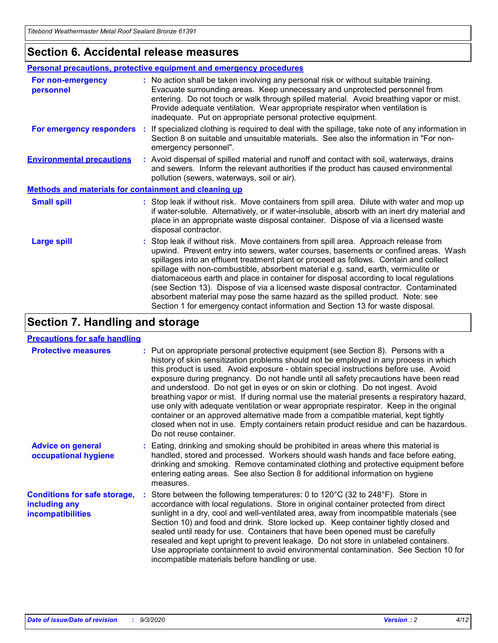### **Section 6. Accidental release measures**

|                                                              | Personal precautions, protective equipment and emergency procedures                                                                                                                                                                                                                                                                                                                                                                                                                                                                                                                                                                                                                                          |
|--------------------------------------------------------------|--------------------------------------------------------------------------------------------------------------------------------------------------------------------------------------------------------------------------------------------------------------------------------------------------------------------------------------------------------------------------------------------------------------------------------------------------------------------------------------------------------------------------------------------------------------------------------------------------------------------------------------------------------------------------------------------------------------|
| For non-emergency<br>personnel                               | : No action shall be taken involving any personal risk or without suitable training.<br>Evacuate surrounding areas. Keep unnecessary and unprotected personnel from<br>entering. Do not touch or walk through spilled material. Avoid breathing vapor or mist.<br>Provide adequate ventilation. Wear appropriate respirator when ventilation is<br>inadequate. Put on appropriate personal protective equipment.                                                                                                                                                                                                                                                                                             |
| For emergency responders                                     | : If specialized clothing is required to deal with the spillage, take note of any information in<br>Section 8 on suitable and unsuitable materials. See also the information in "For non-<br>emergency personnel".                                                                                                                                                                                                                                                                                                                                                                                                                                                                                           |
| <b>Environmental precautions</b>                             | : Avoid dispersal of spilled material and runoff and contact with soil, waterways, drains<br>and sewers. Inform the relevant authorities if the product has caused environmental<br>pollution (sewers, waterways, soil or air).                                                                                                                                                                                                                                                                                                                                                                                                                                                                              |
| <b>Methods and materials for containment and cleaning up</b> |                                                                                                                                                                                                                                                                                                                                                                                                                                                                                                                                                                                                                                                                                                              |
| <b>Small spill</b>                                           | : Stop leak if without risk. Move containers from spill area. Dilute with water and mop up<br>if water-soluble. Alternatively, or if water-insoluble, absorb with an inert dry material and<br>place in an appropriate waste disposal container. Dispose of via a licensed waste<br>disposal contractor.                                                                                                                                                                                                                                                                                                                                                                                                     |
| <b>Large spill</b>                                           | : Stop leak if without risk. Move containers from spill area. Approach release from<br>upwind. Prevent entry into sewers, water courses, basements or confined areas. Wash<br>spillages into an effluent treatment plant or proceed as follows. Contain and collect<br>spillage with non-combustible, absorbent material e.g. sand, earth, vermiculite or<br>diatomaceous earth and place in container for disposal according to local regulations<br>(see Section 13). Dispose of via a licensed waste disposal contractor. Contaminated<br>absorbent material may pose the same hazard as the spilled product. Note: see<br>Section 1 for emergency contact information and Section 13 for waste disposal. |

## **Section 7. Handling and storage**

### **Precautions for safe handling**

| <b>Protective measures</b>                                                       | : Put on appropriate personal protective equipment (see Section 8). Persons with a<br>history of skin sensitization problems should not be employed in any process in which<br>this product is used. Avoid exposure - obtain special instructions before use. Avoid<br>exposure during pregnancy. Do not handle until all safety precautions have been read<br>and understood. Do not get in eyes or on skin or clothing. Do not ingest. Avoid<br>breathing vapor or mist. If during normal use the material presents a respiratory hazard,<br>use only with adequate ventilation or wear appropriate respirator. Keep in the original<br>container or an approved alternative made from a compatible material, kept tightly<br>closed when not in use. Empty containers retain product residue and can be hazardous.<br>Do not reuse container. |
|----------------------------------------------------------------------------------|--------------------------------------------------------------------------------------------------------------------------------------------------------------------------------------------------------------------------------------------------------------------------------------------------------------------------------------------------------------------------------------------------------------------------------------------------------------------------------------------------------------------------------------------------------------------------------------------------------------------------------------------------------------------------------------------------------------------------------------------------------------------------------------------------------------------------------------------------|
| <b>Advice on general</b><br>occupational hygiene                                 | : Eating, drinking and smoking should be prohibited in areas where this material is<br>handled, stored and processed. Workers should wash hands and face before eating,<br>drinking and smoking. Remove contaminated clothing and protective equipment before<br>entering eating areas. See also Section 8 for additional information on hygiene<br>measures.                                                                                                                                                                                                                                                                                                                                                                                                                                                                                    |
| <b>Conditions for safe storage,</b><br>including any<br><b>incompatibilities</b> | Store between the following temperatures: 0 to 120°C (32 to 248°F). Store in<br>accordance with local regulations. Store in original container protected from direct<br>sunlight in a dry, cool and well-ventilated area, away from incompatible materials (see<br>Section 10) and food and drink. Store locked up. Keep container tightly closed and<br>sealed until ready for use. Containers that have been opened must be carefully<br>resealed and kept upright to prevent leakage. Do not store in unlabeled containers.<br>Use appropriate containment to avoid environmental contamination. See Section 10 for<br>incompatible materials before handling or use.                                                                                                                                                                         |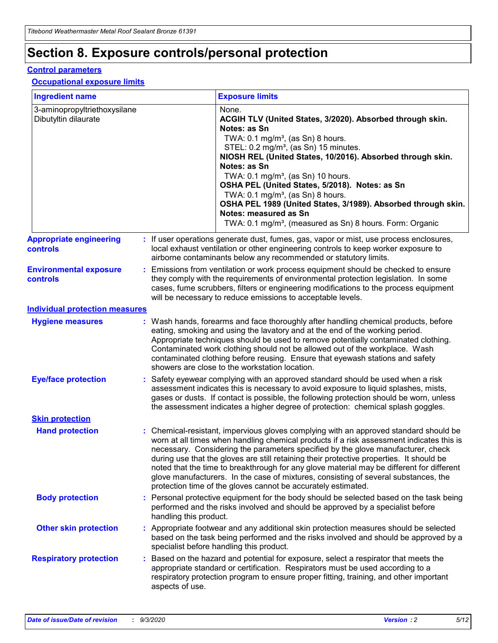## **Section 8. Exposure controls/personal protection**

### **Control parameters**

#### **Occupational exposure limits**

| <b>Ingredient name</b>                               |    |                                                                                                                                                                                                                                                                                                                               | <b>Exposure limits</b>                                                                                                                                                                                                                                                                                                                                                                                                                                                                                                                                                                                                 |  |
|------------------------------------------------------|----|-------------------------------------------------------------------------------------------------------------------------------------------------------------------------------------------------------------------------------------------------------------------------------------------------------------------------------|------------------------------------------------------------------------------------------------------------------------------------------------------------------------------------------------------------------------------------------------------------------------------------------------------------------------------------------------------------------------------------------------------------------------------------------------------------------------------------------------------------------------------------------------------------------------------------------------------------------------|--|
| 3-aminopropyltriethoxysilane<br>Dibutyltin dilaurate |    |                                                                                                                                                                                                                                                                                                                               | None.<br>ACGIH TLV (United States, 3/2020). Absorbed through skin.<br>Notes: as Sn<br>TWA: $0.1 \text{ mg/m}^3$ , (as Sn) 8 hours.<br>STEL: 0.2 mg/m <sup>3</sup> , (as Sn) 15 minutes.<br>NIOSH REL (United States, 10/2016). Absorbed through skin.<br>Notes: as Sn<br>TWA: 0.1 mg/m <sup>3</sup> , (as Sn) 10 hours.<br>OSHA PEL (United States, 5/2018). Notes: as Sn<br>TWA: $0.1 \text{ mg/m}^3$ , (as Sn) 8 hours.<br>OSHA PEL 1989 (United States, 3/1989). Absorbed through skin.<br>Notes: measured as Sn<br>TWA: 0.1 mg/m <sup>3</sup> , (measured as Sn) 8 hours. Form: Organic                            |  |
| <b>Appropriate engineering</b><br>controls           |    |                                                                                                                                                                                                                                                                                                                               | : If user operations generate dust, fumes, gas, vapor or mist, use process enclosures,<br>local exhaust ventilation or other engineering controls to keep worker exposure to<br>airborne contaminants below any recommended or statutory limits.                                                                                                                                                                                                                                                                                                                                                                       |  |
| <b>Environmental exposure</b><br>controls            |    | Emissions from ventilation or work process equipment should be checked to ensure<br>they comply with the requirements of environmental protection legislation. In some<br>cases, fume scrubbers, filters or engineering modifications to the process equipment<br>will be necessary to reduce emissions to acceptable levels. |                                                                                                                                                                                                                                                                                                                                                                                                                                                                                                                                                                                                                        |  |
| <b>Individual protection measures</b>                |    |                                                                                                                                                                                                                                                                                                                               |                                                                                                                                                                                                                                                                                                                                                                                                                                                                                                                                                                                                                        |  |
| <b>Hygiene measures</b>                              |    |                                                                                                                                                                                                                                                                                                                               | : Wash hands, forearms and face thoroughly after handling chemical products, before<br>eating, smoking and using the lavatory and at the end of the working period.<br>Appropriate techniques should be used to remove potentially contaminated clothing.<br>Contaminated work clothing should not be allowed out of the workplace. Wash<br>contaminated clothing before reusing. Ensure that eyewash stations and safety<br>showers are close to the workstation location.                                                                                                                                            |  |
| <b>Eye/face protection</b>                           |    |                                                                                                                                                                                                                                                                                                                               | : Safety eyewear complying with an approved standard should be used when a risk<br>assessment indicates this is necessary to avoid exposure to liquid splashes, mists,<br>gases or dusts. If contact is possible, the following protection should be worn, unless<br>the assessment indicates a higher degree of protection: chemical splash goggles.                                                                                                                                                                                                                                                                  |  |
| <b>Skin protection</b>                               |    |                                                                                                                                                                                                                                                                                                                               |                                                                                                                                                                                                                                                                                                                                                                                                                                                                                                                                                                                                                        |  |
| <b>Hand protection</b>                               |    |                                                                                                                                                                                                                                                                                                                               | : Chemical-resistant, impervious gloves complying with an approved standard should be<br>worn at all times when handling chemical products if a risk assessment indicates this is<br>necessary. Considering the parameters specified by the glove manufacturer, check<br>during use that the gloves are still retaining their protective properties. It should be<br>noted that the time to breakthrough for any glove material may be different for different<br>glove manufacturers. In the case of mixtures, consisting of several substances, the<br>protection time of the gloves cannot be accurately estimated. |  |
| <b>Body protection</b>                               |    | handling this product.                                                                                                                                                                                                                                                                                                        | Personal protective equipment for the body should be selected based on the task being<br>performed and the risks involved and should be approved by a specialist before                                                                                                                                                                                                                                                                                                                                                                                                                                                |  |
| <b>Other skin protection</b>                         |    |                                                                                                                                                                                                                                                                                                                               | : Appropriate footwear and any additional skin protection measures should be selected<br>based on the task being performed and the risks involved and should be approved by a<br>specialist before handling this product.                                                                                                                                                                                                                                                                                                                                                                                              |  |
| <b>Respiratory protection</b>                        | ÷. | aspects of use.                                                                                                                                                                                                                                                                                                               | Based on the hazard and potential for exposure, select a respirator that meets the<br>appropriate standard or certification. Respirators must be used according to a<br>respiratory protection program to ensure proper fitting, training, and other important                                                                                                                                                                                                                                                                                                                                                         |  |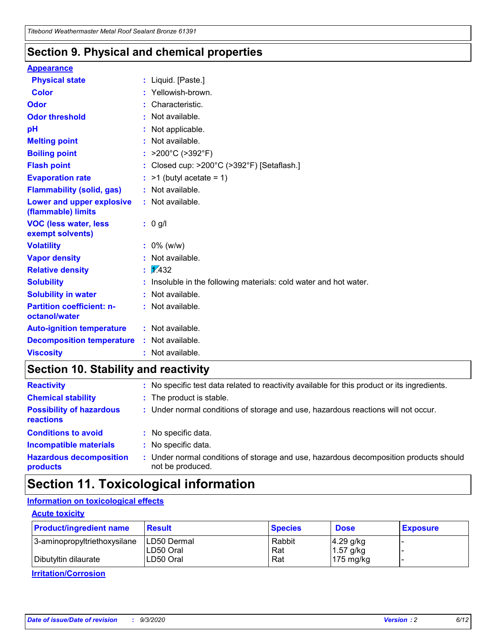### **Section 9. Physical and chemical properties**

#### **Appearance**

| <b>Physical state</b>                             | : Liquid. [Paste.]                                              |
|---------------------------------------------------|-----------------------------------------------------------------|
| Color                                             | Yellowish-brown.                                                |
| Odor                                              | : Characteristic.                                               |
| <b>Odor threshold</b>                             | $:$ Not available.                                              |
| рH                                                | : Not applicable.                                               |
| <b>Melting point</b>                              | : Not available.                                                |
| <b>Boiling point</b>                              | : $>200^{\circ}$ C ( $>392^{\circ}$ F)                          |
| <b>Flash point</b>                                | : Closed cup: >200°C (>392°F) [Setaflash.]                      |
| <b>Evaporation rate</b>                           | $:$ >1 (butyl acetate = 1)                                      |
| <b>Flammability (solid, gas)</b>                  | : Not available.                                                |
| Lower and upper explosive<br>(flammable) limits   | : Not available.                                                |
| <b>VOC (less water, less</b><br>exempt solvents)  | : 0 g/l                                                         |
| <b>Volatility</b>                                 | $: 0\%$ (w/w)                                                   |
| <b>Vapor density</b>                              | : Not available.                                                |
| <b>Relative density</b>                           | $\sqrt{x}$ 432                                                  |
| <b>Solubility</b>                                 | Insoluble in the following materials: cold water and hot water. |
| <b>Solubility in water</b>                        | : Not available.                                                |
| <b>Partition coefficient: n-</b><br>octanol/water | : Not available.                                                |
| <b>Auto-ignition temperature</b>                  | : Not available.                                                |
| <b>Decomposition temperature</b>                  | : Not available.                                                |
| <b>Viscosity</b>                                  | $:$ Not available.                                              |

### **Section 10. Stability and reactivity**

| <b>Reactivity</b>                            |    | : No specific test data related to reactivity available for this product or its ingredients.            |
|----------------------------------------------|----|---------------------------------------------------------------------------------------------------------|
| <b>Chemical stability</b>                    |    | : The product is stable.                                                                                |
| <b>Possibility of hazardous</b><br>reactions |    | : Under normal conditions of storage and use, hazardous reactions will not occur.                       |
| <b>Conditions to avoid</b>                   |    | : No specific data.                                                                                     |
| <b>Incompatible materials</b>                | ٠. | No specific data.                                                                                       |
| <b>Hazardous decomposition</b><br>products   | ÷. | Under normal conditions of storage and use, hazardous decomposition products should<br>not be produced. |

## **Section 11. Toxicological information**

### **Information on toxicological effects**

### **Acute toxicity**

| <b>Product/ingredient name</b> | <b>Result</b> | <b>Species</b> | <b>Dose</b>         | <b>Exposure</b> |
|--------------------------------|---------------|----------------|---------------------|-----------------|
| 3-aminopropyltriethoxysilane   | LD50 Dermal   | Rabbit         | $4.29$ g/kg         |                 |
|                                | ILD50 Oral    | Rat            | 1.57 g/kg           |                 |
| Dibutyltin dilaurate           | LD50 Oral     | Rat            | $175 \text{ mg/kg}$ |                 |

**Irritation/Corrosion**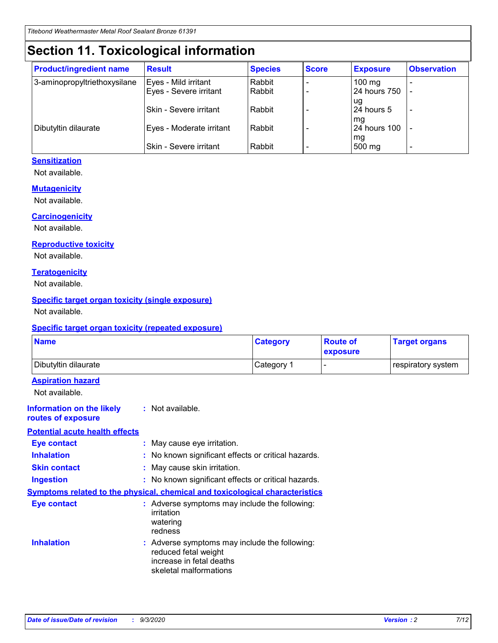## **Section 11. Toxicological information**

| <b>Product/ingredient name</b> | <b>Result</b>            | <b>Species</b> | <b>Score</b> | <b>Exposure</b>    | <b>Observation</b> |
|--------------------------------|--------------------------|----------------|--------------|--------------------|--------------------|
| 3-aminopropyltriethoxysilane   | Eyes - Mild irritant     | Rabbit         |              | $100$ mg           |                    |
|                                | Eyes - Severe irritant   | Rabbit         |              | 24 hours 750       |                    |
|                                |                          |                |              | ug                 |                    |
|                                | Skin - Severe irritant   | Rabbit         |              | 24 hours 5         | -                  |
| Dibutyltin dilaurate           | Eyes - Moderate irritant | Rabbit         |              | mg<br>24 hours 100 |                    |
|                                |                          |                |              | mg                 |                    |
|                                | Skin - Severe irritant   | Rabbit         |              | 500 mg             | -                  |

### **Sensitization**

Not available.

### **Mutagenicity**

Not available.

#### **Carcinogenicity**

Not available.

#### **Reproductive toxicity**

Not available.

#### **Teratogenicity**

Not available.

### **Specific target organ toxicity (single exposure)**

Not available.

### **Specific target organ toxicity (repeated exposure)**

| <b>Name</b>                                                                  |                                                                            | <b>Category</b>                                     | <b>Route of</b><br>exposure  | <b>Target organs</b> |  |  |
|------------------------------------------------------------------------------|----------------------------------------------------------------------------|-----------------------------------------------------|------------------------------|----------------------|--|--|
| Dibutyltin dilaurate                                                         |                                                                            | Category 1                                          | $\qquad \qquad \blacksquare$ | respiratory system   |  |  |
| <b>Aspiration hazard</b><br>Not available.                                   |                                                                            |                                                     |                              |                      |  |  |
| <b>Information on the likely</b><br>routes of exposure                       | : Not available.                                                           |                                                     |                              |                      |  |  |
| <b>Potential acute health effects</b>                                        |                                                                            |                                                     |                              |                      |  |  |
| Eye contact                                                                  | : May cause eye irritation.                                                |                                                     |                              |                      |  |  |
| <b>Inhalation</b>                                                            |                                                                            | : No known significant effects or critical hazards. |                              |                      |  |  |
| <b>Skin contact</b>                                                          |                                                                            | : May cause skin irritation.                        |                              |                      |  |  |
| <b>Ingestion</b>                                                             |                                                                            | : No known significant effects or critical hazards. |                              |                      |  |  |
| Symptoms related to the physical, chemical and toxicological characteristics |                                                                            |                                                     |                              |                      |  |  |
| <b>Eye contact</b>                                                           | irritation<br>watering<br>redness                                          | : Adverse symptoms may include the following:       |                              |                      |  |  |
| <b>Inhalation</b>                                                            | reduced fetal weight<br>increase in fetal deaths<br>skeletal malformations | : Adverse symptoms may include the following:       |                              |                      |  |  |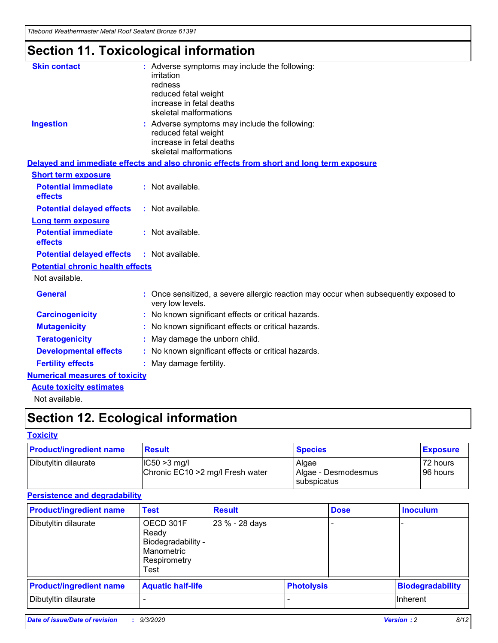*Titebond Weathermaster Metal Roof Sealant Bronze 61391*

## **Section 11. Toxicological information**

| <b>Skin contact</b>                     | irritation<br>redness<br>reduced fetal weight<br>increase in fetal deaths<br>skeletal malformations | : Adverse symptoms may include the following:                                            |
|-----------------------------------------|-----------------------------------------------------------------------------------------------------|------------------------------------------------------------------------------------------|
| <b>Ingestion</b>                        | reduced fetal weight<br>increase in fetal deaths<br>skeletal malformations                          | : Adverse symptoms may include the following:                                            |
|                                         |                                                                                                     | Delayed and immediate effects and also chronic effects from short and long term exposure |
| <b>Short term exposure</b>              |                                                                                                     |                                                                                          |
| <b>Potential immediate</b><br>effects   | : Not available.                                                                                    |                                                                                          |
| <b>Potential delayed effects</b>        | : Not available.                                                                                    |                                                                                          |
| <b>Long term exposure</b>               |                                                                                                     |                                                                                          |
| <b>Potential immediate</b><br>effects   | : Not available.                                                                                    |                                                                                          |
| <b>Potential delayed effects</b>        | : Not available.                                                                                    |                                                                                          |
| <b>Potential chronic health effects</b> |                                                                                                     |                                                                                          |
| Not available.                          |                                                                                                     |                                                                                          |
| <b>General</b>                          | very low levels.                                                                                    | : Once sensitized, a severe allergic reaction may occur when subsequently exposed to     |
| <b>Carcinogenicity</b>                  |                                                                                                     | : No known significant effects or critical hazards.                                      |
| <b>Mutagenicity</b>                     |                                                                                                     | No known significant effects or critical hazards.                                        |
| <b>Teratogenicity</b>                   |                                                                                                     | May damage the unborn child.                                                             |
| <b>Developmental effects</b>            |                                                                                                     | : No known significant effects or critical hazards.                                      |
| <b>Fertility effects</b>                | May damage fertility.                                                                               |                                                                                          |
| <b>Numerical measures of toxicity</b>   |                                                                                                     |                                                                                          |
| <b>Acute toxicity estimates</b>         |                                                                                                     |                                                                                          |
| Not available.                          |                                                                                                     |                                                                                          |

## **Section 12. Ecological information**

### **Toxicity**

| <b>Product/ingredient name</b> | <b>Result</b>                                       | <b>Species</b>               | <b>Exposure</b>       |
|--------------------------------|-----------------------------------------------------|------------------------------|-----------------------|
| Dibutyltin dilaurate           | $ IC50>3$ mg/l<br>Chronic EC10 > 2 mg/l Fresh water | Algae<br>Algae - Desmodesmus | 72 hours<br>196 hours |
|                                |                                                     | subspicatus                  |                       |

### **Persistence and degradability**

| <b>Product/ingredient name</b> | <b>Test</b>                                                                    | <b>Result</b>  |                   | <b>Dose</b> | <b>Inoculum</b>         |
|--------------------------------|--------------------------------------------------------------------------------|----------------|-------------------|-------------|-------------------------|
| Dibutyltin dilaurate           | OECD 301F<br>Ready<br>Biodegradability -<br>Manometric<br>Respirometry<br>Test | 23 % - 28 days |                   |             |                         |
| <b>Product/ingredient name</b> | <b>Aquatic half-life</b>                                                       |                | <b>Photolysis</b> |             | <b>Biodegradability</b> |
| Dibutyltin dilaurate           |                                                                                |                |                   |             | <b>Inherent</b>         |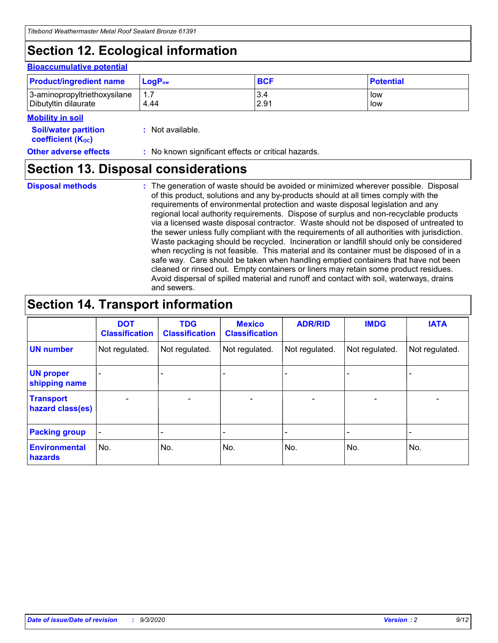## **Section 12. Ecological information**

#### **Bioaccumulative potential**

| <b>Product/ingredient name</b> | $\mathsf{LogP}_\mathsf{ow}$ | <b>BCF</b> | <b>Potential</b> |
|--------------------------------|-----------------------------|------------|------------------|
| 3-aminopropyltriethoxysilane   | $1.\overline{7}$            | 3.4        | low              |
| Dibutyltin dilaurate           | 4.44                        | 2.91       | low              |

### **Mobility in soil**

| IVIVNIIILY III JVII<br><b>Soil/water partition</b><br>coefficient (K <sub>oc</sub> ) | : Not available.                                    |
|--------------------------------------------------------------------------------------|-----------------------------------------------------|
| <b>Other adverse effects</b>                                                         | : No known significant effects or critical hazards. |

### **Section 13. Disposal considerations**

**Disposal methods :**

The generation of waste should be avoided or minimized wherever possible. Disposal of this product, solutions and any by-products should at all times comply with the requirements of environmental protection and waste disposal legislation and any regional local authority requirements. Dispose of surplus and non-recyclable products via a licensed waste disposal contractor. Waste should not be disposed of untreated to the sewer unless fully compliant with the requirements of all authorities with jurisdiction. Waste packaging should be recycled. Incineration or landfill should only be considered when recycling is not feasible. This material and its container must be disposed of in a safe way. Care should be taken when handling emptied containers that have not been cleaned or rinsed out. Empty containers or liners may retain some product residues. Avoid dispersal of spilled material and runoff and contact with soil, waterways, drains and sewers.

### **Section 14. Transport information**

|                                      | <b>DOT</b><br><b>Classification</b> | <b>TDG</b><br><b>Classification</b> | <b>Mexico</b><br><b>Classification</b> | <b>ADR/RID</b>           | <b>IMDG</b>              | <b>IATA</b>    |
|--------------------------------------|-------------------------------------|-------------------------------------|----------------------------------------|--------------------------|--------------------------|----------------|
| <b>UN number</b>                     | Not regulated.                      | Not regulated.                      | Not regulated.                         | Not regulated.           | Not regulated.           | Not regulated. |
| <b>UN proper</b><br>shipping name    |                                     |                                     |                                        |                          |                          |                |
| <b>Transport</b><br>hazard class(es) |                                     | $\overline{\phantom{0}}$            | $\qquad \qquad \blacksquare$           | $\overline{\phantom{0}}$ | $\overline{\phantom{0}}$ |                |
| <b>Packing group</b>                 |                                     |                                     |                                        |                          |                          |                |
| <b>Environmental</b><br>hazards      | No.                                 | No.                                 | No.                                    | No.                      | No.                      | No.            |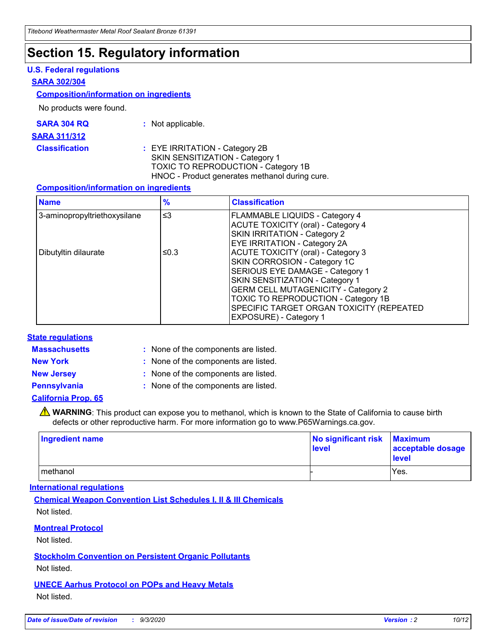## **Section 15. Regulatory information**

### **U.S. Federal regulations**

#### **SARA 302/304**

### **Composition/information on ingredients**

No products were found.

| SARA 304 RQ | Not applicable. |
|-------------|-----------------|
|-------------|-----------------|

#### **SARA 311/312**

**Classification :** EYE IRRITATION - Category 2B SKIN SENSITIZATION - Category 1 TOXIC TO REPRODUCTION - Category 1B HNOC - Product generates methanol during cure.

### **Composition/information on ingredients**

| <b>Name</b>                  | $\frac{9}{6}$ | <b>Classification</b>                                                                                                                                                                                                                                                                                      |
|------------------------------|---------------|------------------------------------------------------------------------------------------------------------------------------------------------------------------------------------------------------------------------------------------------------------------------------------------------------------|
| 3-aminopropyltriethoxysilane | $\leq$ 3      | <b>FLAMMABLE LIQUIDS - Category 4</b><br><b>ACUTE TOXICITY (oral) - Category 4</b><br><b>SKIN IRRITATION - Category 2</b><br>EYE IRRITATION - Category 2A                                                                                                                                                  |
| Dibutyltin dilaurate         | ≤0.3          | <b>ACUTE TOXICITY (oral) - Category 3</b><br>SKIN CORROSION - Category 1C<br>SERIOUS EYE DAMAGE - Category 1<br>SKIN SENSITIZATION - Category 1<br><b>GERM CELL MUTAGENICITY - Category 2</b><br>TOXIC TO REPRODUCTION - Category 1B<br>SPECIFIC TARGET ORGAN TOXICITY (REPEATED<br>EXPOSURE) - Category 1 |

### **State regulations**

**Massachusetts :**

: None of the components are listed.

**New York :** None of the components are listed. **New Jersey :** None of the components are listed.

**Pennsylvania :** None of the components are listed.

### **California Prop. 65**

WARNING: This product can expose you to methanol, which is known to the State of California to cause birth defects or other reproductive harm. For more information go to www.P65Warnings.ca.gov.

| Ingredient name | No significant risk<br>level | <b>Maximum</b><br>acceptable dosage<br><b>level</b> |
|-----------------|------------------------------|-----------------------------------------------------|
| l methanol      |                              | Yes.                                                |

### **International regulations**

**Chemical Weapon Convention List Schedules I, II & III Chemicals** Not listed.

### **Montreal Protocol**

Not listed.

**Stockholm Convention on Persistent Organic Pollutants**

Not listed.

**UNECE Aarhus Protocol on POPs and Heavy Metals** Not listed.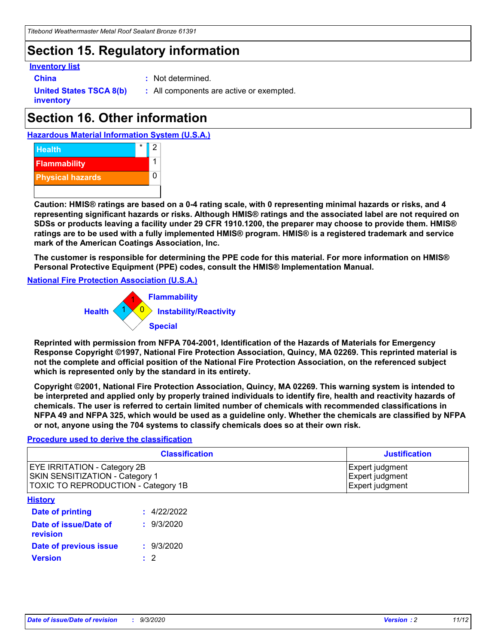## **Section 15. Regulatory information**

### **Inventory list**

- 
- **China :** Not determined.

**United States TSCA 8(b) inventory**

**:** All components are active or exempted.

## **Section 16. Other information**





**Caution: HMIS® ratings are based on a 0-4 rating scale, with 0 representing minimal hazards or risks, and 4 representing significant hazards or risks. Although HMIS® ratings and the associated label are not required on SDSs or products leaving a facility under 29 CFR 1910.1200, the preparer may choose to provide them. HMIS® ratings are to be used with a fully implemented HMIS® program. HMIS® is a registered trademark and service mark of the American Coatings Association, Inc.**

**The customer is responsible for determining the PPE code for this material. For more information on HMIS® Personal Protective Equipment (PPE) codes, consult the HMIS® Implementation Manual.**

**National Fire Protection Association (U.S.A.)**



**Reprinted with permission from NFPA 704-2001, Identification of the Hazards of Materials for Emergency Response Copyright ©1997, National Fire Protection Association, Quincy, MA 02269. This reprinted material is not the complete and official position of the National Fire Protection Association, on the referenced subject which is represented only by the standard in its entirety.**

**Copyright ©2001, National Fire Protection Association, Quincy, MA 02269. This warning system is intended to be interpreted and applied only by properly trained individuals to identify fire, health and reactivity hazards of chemicals. The user is referred to certain limited number of chemicals with recommended classifications in NFPA 49 and NFPA 325, which would be used as a guideline only. Whether the chemicals are classified by NFPA or not, anyone using the 704 systems to classify chemicals does so at their own risk.**

### **Procedure used to derive the classification**

| <b>Classification</b>                                                                                                | <b>Justification</b>                                  |
|----------------------------------------------------------------------------------------------------------------------|-------------------------------------------------------|
| <b>EYE IRRITATION - Category 2B</b><br><b>SKIN SENSITIZATION - Category 1</b><br>TOXIC TO REPRODUCTION - Category 1B | Expert judgment<br>Expert judgment<br>Expert judgment |
| <b>History</b>                                                                                                       |                                                       |

| .                                        |             |
|------------------------------------------|-------------|
| <b>Date of printing</b>                  | : 4/22/2022 |
| Date of issue/Date of<br><b>revision</b> | : 9/3/2020  |
| Date of previous issue                   | : 9/3/2020  |
| <b>Version</b>                           | $\cdot$ 2   |
|                                          |             |